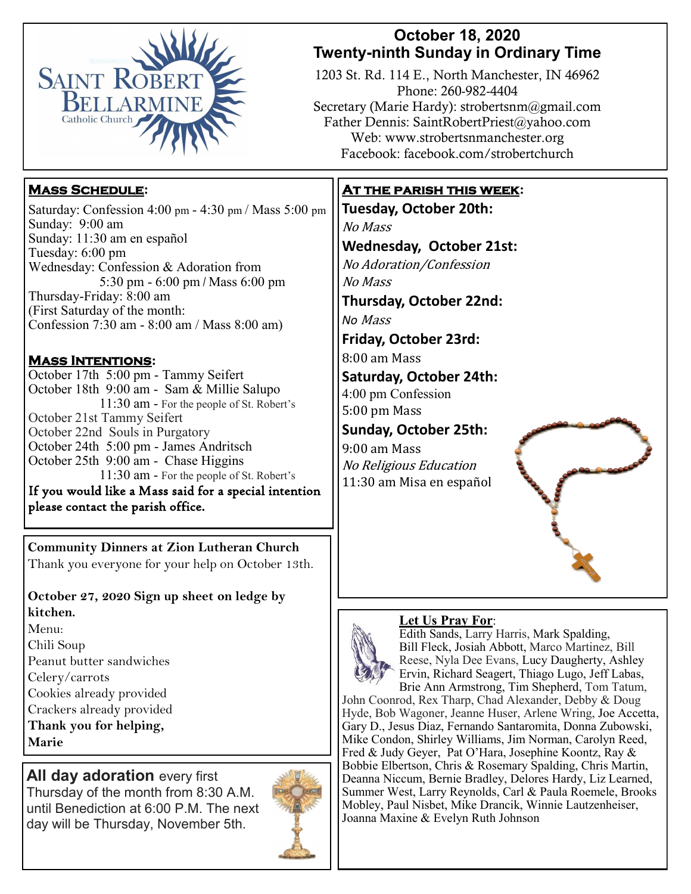

# **October 18, 2020 Twenty-ninth Sunday in Ordinary Time**

1203 St. Rd. 114 E., North Manchester, IN 46962 Phone: 260-982-4404 Secretary (Marie Hardy): strobertsnm@gmail.com Father Dennis: SaintRobertPriest@yahoo.com Web: www.strobertsnmanchester.org Facebook: facebook.com/strobertchurch

# **Mass Schedule:**

Saturday: Confession 4:00 pm - 4:30 pm / Mass 5:00 pm Sunday: 9:00 am Sunday: 11:30 am en español Tuesday: 6:00 pm Wednesday: Confession & Adoration from 5:30 pm - 6:00 pm / Mass 6:00 pm Thursday-Friday: 8:00 am (First Saturday of the month: Confession 7:30 am - 8:00 am / Mass 8:00 am)

### **Mass Intentions:**

October 17th 5:00 pm - Tammy Seifert October 18th 9:00 am - Sam & Millie Salupo 11:30 am - For the people of St. Robert's October 21st Tammy Seifert October 22nd Souls in Purgatory October 24th 5:00 pm - James Andritsch October 25th 9:00 am - Chase Higgins 11:30 am - For the people of St. Robert's If you would like a Mass said for a special intention please contact the parish office.

**Community Dinners at Zion Lutheran Church**  Thank you everyone for your help on October 13th.

**October 27, 2020 Sign up sheet on ledge by kitchen.**  Menu:

Chili Soup Peanut butter sandwiches Celery/carrots Cookies already provided Crackers already provided **Thank you for helping, Marie**

**All day adoration every first** Thursday of the month from 8:30 A.M.

until Benediction at 6:00 P.M. The next day will be Thursday, November 5th.



# **At the parish this week:**

**Tuesday, October 20th:**  No Mass **Wednesday, October 21st:** No Adoration/Confession No Mass **Thursday, October 22nd:**  *No* Mass **Friday, October 23rd:** 

8:00 am Mass

**Saturday, October 24th:** 4:00 pm Confession 5:00 pm Mass

**Sunday, October 25th:** 9:00 am Mass

No Religious Education 11:30 am Misa en español

#### **Let Us Pray For**:



Edith Sands, Larry Harris, Mark Spalding, Bill Fleck, Josiah Abbott, Marco Martinez, Bill Reese, Nyla Dee Evans, Lucy Daugherty, Ashley Ervin, Richard Seagert, Thiago Lugo, Jeff Labas, Brie Ann Armstrong, Tim Shepherd, Tom Tatum,

John Coonrod, Rex Tharp, Chad Alexander, Debby & Doug Hyde, Bob Wagoner, Jeanne Huser, Arlene Wring, Joe Accetta, Gary D., Jesus Diaz, Fernando Santaromita, Donna Zubowski, Mike Condon, Shirley Williams, Jim Norman, Carolyn Reed, Fred & Judy Geyer, Pat O'Hara, Josephine Koontz, Ray & Bobbie Elbertson, Chris & Rosemary Spalding, Chris Martin, Deanna Niccum, Bernie Bradley, Delores Hardy, Liz Learned, Summer West, Larry Reynolds, Carl & Paula Roemele, Brooks Mobley, Paul Nisbet, Mike Drancik, Winnie Lautzenheiser, Joanna Maxine & Evelyn Ruth Johnson